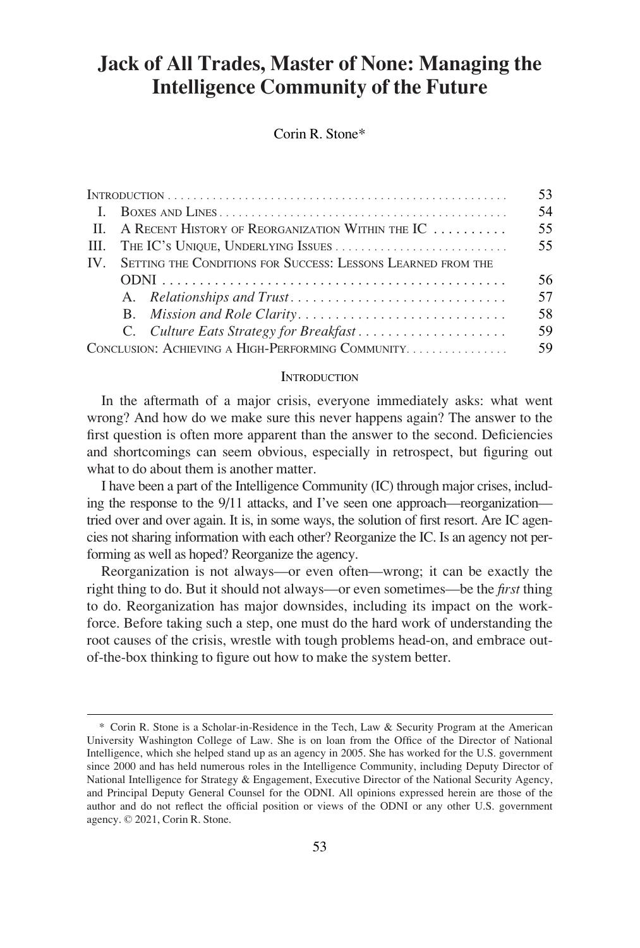# **Jack of All Trades, Master of None: Managing the Intelligence Community of the Future**

Corin R. Stone\*

|                                                   |                                                                  |                                                                             | 53. |
|---------------------------------------------------|------------------------------------------------------------------|-----------------------------------------------------------------------------|-----|
|                                                   |                                                                  |                                                                             | 54  |
|                                                   |                                                                  | II. A RECENT HISTORY OF REORGANIZATION WITHIN THE IC $\ldots \ldots \ldots$ | 55  |
|                                                   | III. THE IC'S UNIQUE, UNDERLYING ISSUES                          |                                                                             | 55  |
|                                                   | IV. SETTING THE CONDITIONS FOR SUCCESS: LESSONS LEARNED FROM THE |                                                                             |     |
|                                                   |                                                                  |                                                                             | 56  |
|                                                   |                                                                  |                                                                             | 57  |
|                                                   |                                                                  |                                                                             | 58  |
|                                                   |                                                                  | C. Culture Eats Strategy for Breakfast                                      | 59  |
| CONCLUSION: ACHIEVING A HIGH-PERFORMING COMMUNITY |                                                                  |                                                                             | 59  |

#### **INTRODUCTION**

In the aftermath of a major crisis, everyone immediately asks: what went wrong? And how do we make sure this never happens again? The answer to the first question is often more apparent than the answer to the second. Deficiencies and shortcomings can seem obvious, especially in retrospect, but figuring out what to do about them is another matter.

I have been a part of the Intelligence Community (IC) through major crises, including the response to the 9/11 attacks, and I've seen one approach—reorganization tried over and over again. It is, in some ways, the solution of first resort. Are IC agencies not sharing information with each other? Reorganize the IC. Is an agency not performing as well as hoped? Reorganize the agency.

Reorganization is not always—or even often—wrong; it can be exactly the right thing to do. But it should not always—or even sometimes—be the *first* thing to do. Reorganization has major downsides, including its impact on the workforce. Before taking such a step, one must do the hard work of understanding the root causes of the crisis, wrestle with tough problems head-on, and embrace outof-the-box thinking to figure out how to make the system better.

<sup>\*</sup> Corin R. Stone is a Scholar-in-Residence in the Tech, Law & Security Program at the American University Washington College of Law. She is on loan from the Office of the Director of National Intelligence, which she helped stand up as an agency in 2005. She has worked for the U.S. government since 2000 and has held numerous roles in the Intelligence Community, including Deputy Director of National Intelligence for Strategy & Engagement, Executive Director of the National Security Agency, and Principal Deputy General Counsel for the ODNI. All opinions expressed herein are those of the author and do not reflect the official position or views of the ODNI or any other U.S. government agency. © 2021, Corin R. Stone.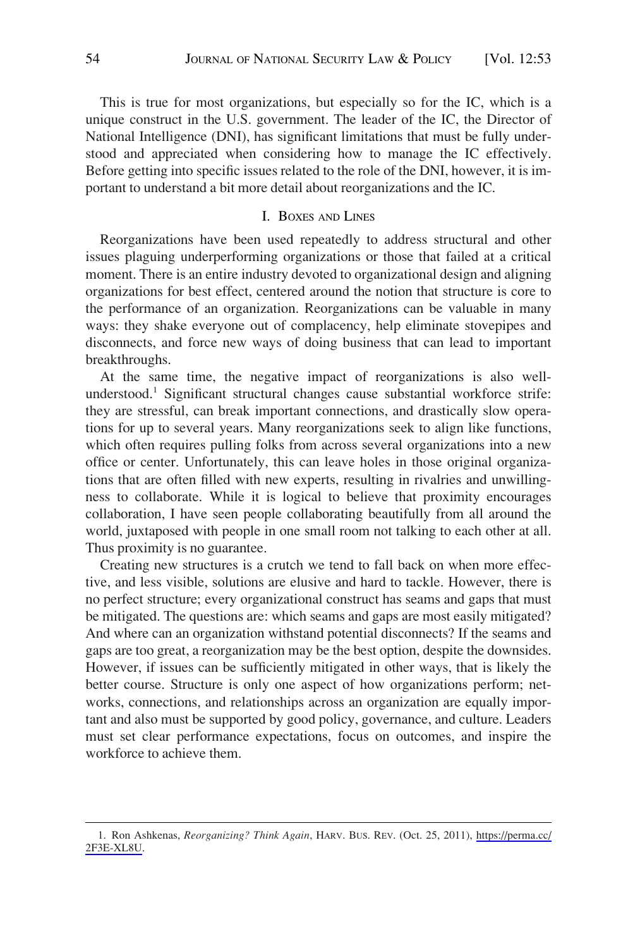<span id="page-1-0"></span>This is true for most organizations, but especially so for the IC, which is a unique construct in the U.S. government. The leader of the IC, the Director of National Intelligence (DNI), has significant limitations that must be fully understood and appreciated when considering how to manage the IC effectively. Before getting into specific issues related to the role of the DNI, however, it is important to understand a bit more detail about reorganizations and the IC.

#### I. BOXES AND LINES

Reorganizations have been used repeatedly to address structural and other issues plaguing underperforming organizations or those that failed at a critical moment. There is an entire industry devoted to organizational design and aligning organizations for best effect, centered around the notion that structure is core to the performance of an organization. Reorganizations can be valuable in many ways: they shake everyone out of complacency, help eliminate stovepipes and disconnects, and force new ways of doing business that can lead to important breakthroughs.

At the same time, the negative impact of reorganizations is also wellunderstood.1 Significant structural changes cause substantial workforce strife: they are stressful, can break important connections, and drastically slow operations for up to several years. Many reorganizations seek to align like functions, which often requires pulling folks from across several organizations into a new office or center. Unfortunately, this can leave holes in those original organizations that are often filled with new experts, resulting in rivalries and unwillingness to collaborate. While it is logical to believe that proximity encourages collaboration, I have seen people collaborating beautifully from all around the world, juxtaposed with people in one small room not talking to each other at all. Thus proximity is no guarantee.

Creating new structures is a crutch we tend to fall back on when more effective, and less visible, solutions are elusive and hard to tackle. However, there is no perfect structure; every organizational construct has seams and gaps that must be mitigated. The questions are: which seams and gaps are most easily mitigated? And where can an organization withstand potential disconnects? If the seams and gaps are too great, a reorganization may be the best option, despite the downsides. However, if issues can be sufficiently mitigated in other ways, that is likely the better course. Structure is only one aspect of how organizations perform; networks, connections, and relationships across an organization are equally important and also must be supported by good policy, governance, and culture. Leaders must set clear performance expectations, focus on outcomes, and inspire the workforce to achieve them.

Ron Ashkenas, *Reorganizing? Think Again*, HARV. BUS. REV. (Oct. 25, 2011), [https://perma.cc/](https://perma.cc/2F3E-XL8U)  1. [2F3E-XL8U.](https://perma.cc/2F3E-XL8U)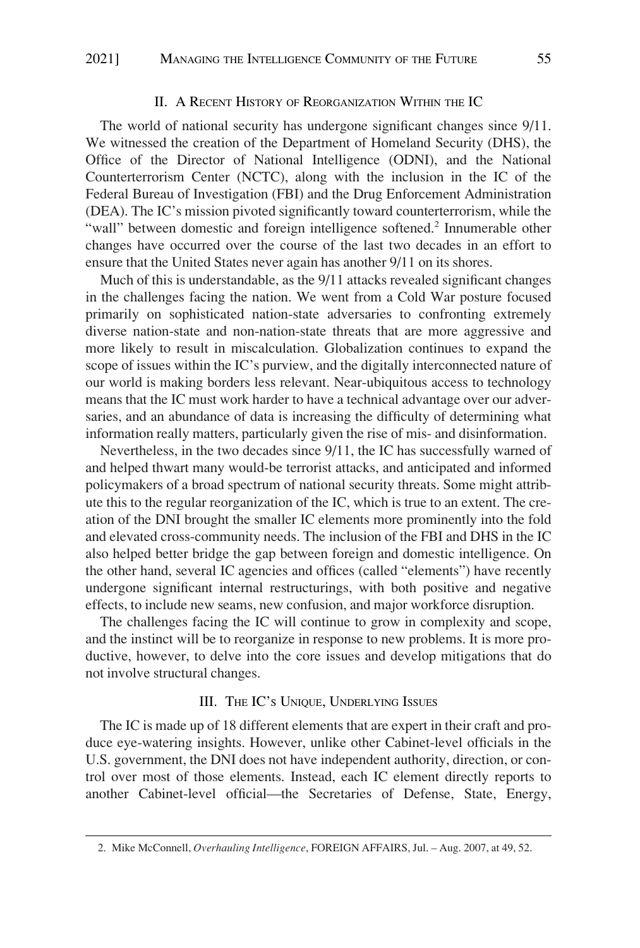#### II. A RECENT HISTORY OF REORGANIZATION WITHIN THE IC

<span id="page-2-0"></span>The world of national security has undergone significant changes since 9/11. We witnessed the creation of the Department of Homeland Security (DHS), the Office of the Director of National Intelligence (ODNI), and the National Counterterrorism Center (NCTC), along with the inclusion in the IC of the Federal Bureau of Investigation (FBI) and the Drug Enforcement Administration (DEA). The IC's mission pivoted significantly toward counterterrorism, while the "wall" between domestic and foreign intelligence softened.<sup>2</sup> Innumerable other changes have occurred over the course of the last two decades in an effort to ensure that the United States never again has another 9/11 on its shores.

Much of this is understandable, as the 9/11 attacks revealed significant changes in the challenges facing the nation. We went from a Cold War posture focused primarily on sophisticated nation-state adversaries to confronting extremely diverse nation-state and non-nation-state threats that are more aggressive and more likely to result in miscalculation. Globalization continues to expand the scope of issues within the IC's purview, and the digitally interconnected nature of our world is making borders less relevant. Near-ubiquitous access to technology means that the IC must work harder to have a technical advantage over our adversaries, and an abundance of data is increasing the difficulty of determining what information really matters, particularly given the rise of mis- and disinformation.

Nevertheless, in the two decades since 9/11, the IC has successfully warned of and helped thwart many would-be terrorist attacks, and anticipated and informed policymakers of a broad spectrum of national security threats. Some might attribute this to the regular reorganization of the IC, which is true to an extent. The creation of the DNI brought the smaller IC elements more prominently into the fold and elevated cross-community needs. The inclusion of the FBI and DHS in the IC also helped better bridge the gap between foreign and domestic intelligence. On the other hand, several IC agencies and offices (called "elements") have recently undergone significant internal restructurings, with both positive and negative effects, to include new seams, new confusion, and major workforce disruption.

The challenges facing the IC will continue to grow in complexity and scope, and the instinct will be to reorganize in response to new problems. It is more productive, however, to delve into the core issues and develop mitigations that do not involve structural changes.

#### III. THE IC'S UNIQUE, UNDERLYING ISSUES

The IC is made up of 18 different elements that are expert in their craft and produce eye-watering insights. However, unlike other Cabinet-level officials in the U.S. government, the DNI does not have independent authority, direction, or control over most of those elements. Instead, each IC element directly reports to another Cabinet-level official—the Secretaries of Defense, State, Energy,

<sup>2.</sup> Mike McConnell, *Overhauling Intelligence*, FOREIGN AFFAIRS, Jul. – Aug. 2007, at 49, 52.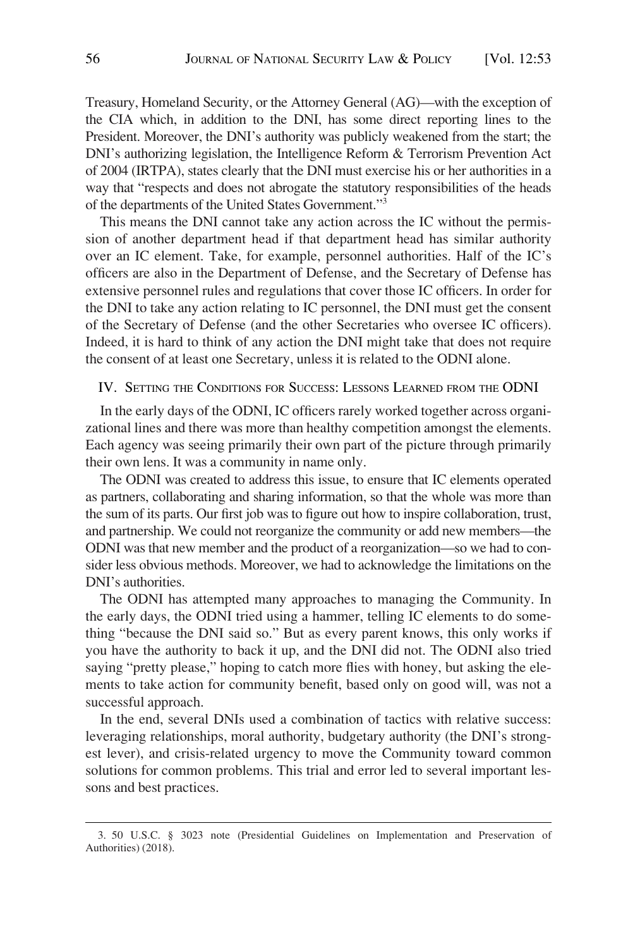<span id="page-3-0"></span>Treasury, Homeland Security, or the Attorney General (AG)—with the exception of the CIA which, in addition to the DNI, has some direct reporting lines to the President. Moreover, the DNI's authority was publicly weakened from the start; the DNI's authorizing legislation, the Intelligence Reform & Terrorism Prevention Act of 2004 (IRTPA), states clearly that the DNI must exercise his or her authorities in a way that "respects and does not abrogate the statutory responsibilities of the heads of the departments of the United States Government."3

This means the DNI cannot take any action across the IC without the permission of another department head if that department head has similar authority over an IC element. Take, for example, personnel authorities. Half of the IC's officers are also in the Department of Defense, and the Secretary of Defense has extensive personnel rules and regulations that cover those IC officers. In order for the DNI to take any action relating to IC personnel, the DNI must get the consent of the Secretary of Defense (and the other Secretaries who oversee IC officers). Indeed, it is hard to think of any action the DNI might take that does not require the consent of at least one Secretary, unless it is related to the ODNI alone.

## IV. SETTING THE CONDITIONS FOR SUCCESS: LESSONS LEARNED FROM THE ODNI

In the early days of the ODNI, IC officers rarely worked together across organizational lines and there was more than healthy competition amongst the elements. Each agency was seeing primarily their own part of the picture through primarily their own lens. It was a community in name only.

The ODNI was created to address this issue, to ensure that IC elements operated as partners, collaborating and sharing information, so that the whole was more than the sum of its parts. Our first job was to figure out how to inspire collaboration, trust, and partnership. We could not reorganize the community or add new members—the ODNI was that new member and the product of a reorganization—so we had to consider less obvious methods. Moreover, we had to acknowledge the limitations on the DNI's authorities.

The ODNI has attempted many approaches to managing the Community. In the early days, the ODNI tried using a hammer, telling IC elements to do something "because the DNI said so." But as every parent knows, this only works if you have the authority to back it up, and the DNI did not. The ODNI also tried saying "pretty please," hoping to catch more flies with honey, but asking the elements to take action for community benefit, based only on good will, was not a successful approach.

In the end, several DNIs used a combination of tactics with relative success: leveraging relationships, moral authority, budgetary authority (the DNI's strongest lever), and crisis-related urgency to move the Community toward common solutions for common problems. This trial and error led to several important lessons and best practices.

<sup>3. 50</sup> U.S.C. § 3023 note (Presidential Guidelines on Implementation and Preservation of Authorities) (2018).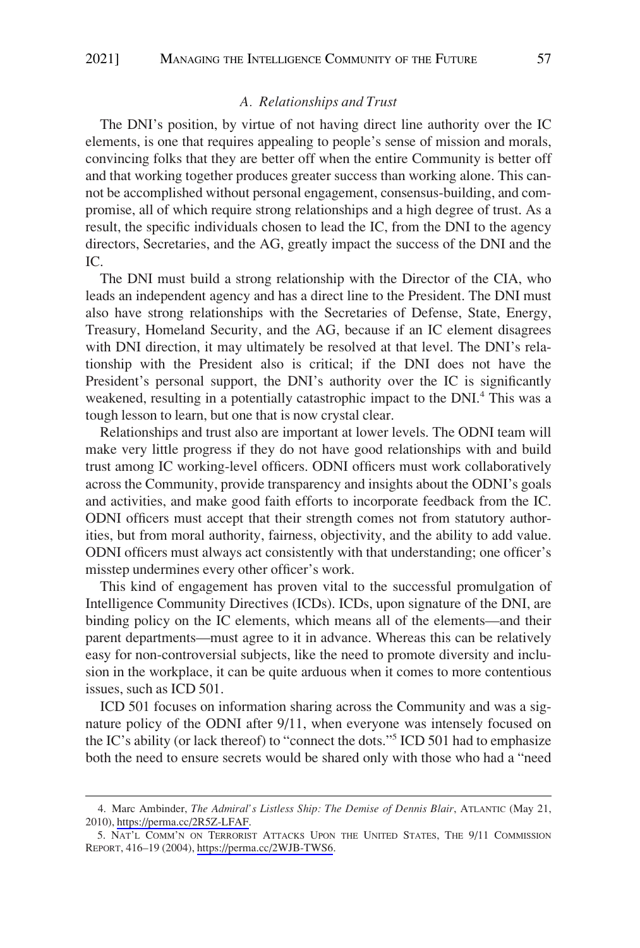## *A. Relationships and Trust*

<span id="page-4-0"></span>The DNI's position, by virtue of not having direct line authority over the IC elements, is one that requires appealing to people's sense of mission and morals, convincing folks that they are better off when the entire Community is better off and that working together produces greater success than working alone. This cannot be accomplished without personal engagement, consensus-building, and compromise, all of which require strong relationships and a high degree of trust. As a result, the specific individuals chosen to lead the IC, from the DNI to the agency directors, Secretaries, and the AG, greatly impact the success of the DNI and the IC.

The DNI must build a strong relationship with the Director of the CIA, who leads an independent agency and has a direct line to the President. The DNI must also have strong relationships with the Secretaries of Defense, State, Energy, Treasury, Homeland Security, and the AG, because if an IC element disagrees with DNI direction, it may ultimately be resolved at that level. The DNI's relationship with the President also is critical; if the DNI does not have the President's personal support, the DNI's authority over the IC is significantly weakened, resulting in a potentially catastrophic impact to the DNI.<sup>4</sup> This was a tough lesson to learn, but one that is now crystal clear.

Relationships and trust also are important at lower levels. The ODNI team will make very little progress if they do not have good relationships with and build trust among IC working-level officers. ODNI officers must work collaboratively across the Community, provide transparency and insights about the ODNI's goals and activities, and make good faith efforts to incorporate feedback from the IC. ODNI officers must accept that their strength comes not from statutory authorities, but from moral authority, fairness, objectivity, and the ability to add value. ODNI officers must always act consistently with that understanding; one officer's misstep undermines every other officer's work.

This kind of engagement has proven vital to the successful promulgation of Intelligence Community Directives (ICDs). ICDs, upon signature of the DNI, are binding policy on the IC elements, which means all of the elements—and their parent departments—must agree to it in advance. Whereas this can be relatively easy for non-controversial subjects, like the need to promote diversity and inclusion in the workplace, it can be quite arduous when it comes to more contentious issues, such as ICD 501.

ICD 501 focuses on information sharing across the Community and was a signature policy of the ODNI after 9/11, when everyone was intensely focused on the IC's ability (or lack thereof) to "connect the dots."5 ICD 501 had to emphasize both the need to ensure secrets would be shared only with those who had a "need

Marc Ambinder, *The Admiral's Listless Ship: The Demise of Dennis Blair*, ATLANTIC (May 21, 4. 2010), [https://perma.cc/2R5Z-LFAF.](https://perma.cc/2R5Z-LFAF)

<sup>5.</sup> NAT'L COMM'N ON TERRORIST ATTACKS UPON THE UNITED STATES, THE 9/11 COMMISSION REPORT, 416–19 (2004), <https://perma.cc/2WJB-TWS6>.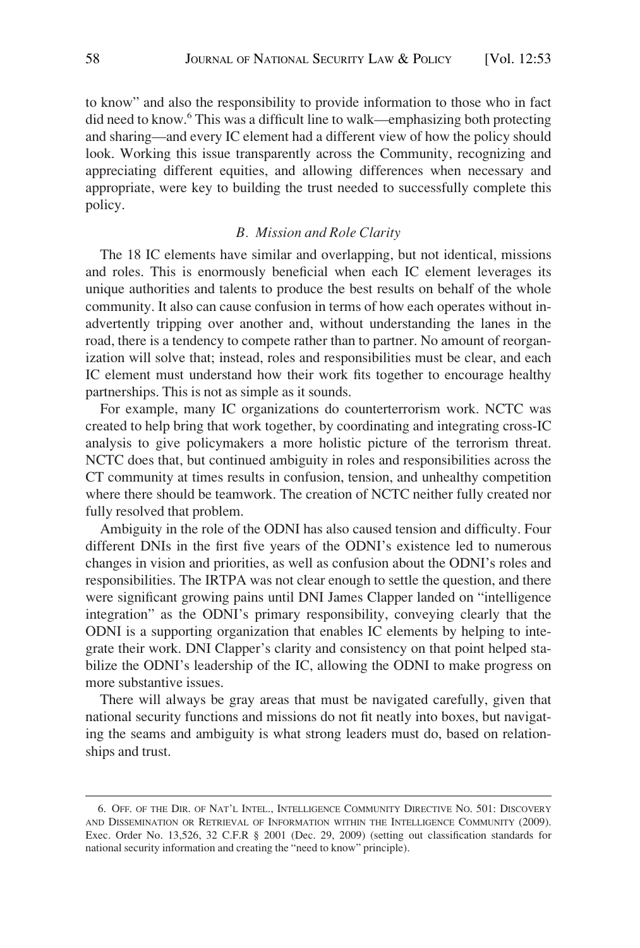<span id="page-5-0"></span>to know" and also the responsibility to provide information to those who in fact did need to know.6 This was a difficult line to walk—emphasizing both protecting and sharing—and every IC element had a different view of how the policy should look. Working this issue transparently across the Community, recognizing and appreciating different equities, and allowing differences when necessary and appropriate, were key to building the trust needed to successfully complete this policy.

## *B. Mission and Role Clarity*

The 18 IC elements have similar and overlapping, but not identical, missions and roles. This is enormously beneficial when each IC element leverages its unique authorities and talents to produce the best results on behalf of the whole community. It also can cause confusion in terms of how each operates without inadvertently tripping over another and, without understanding the lanes in the road, there is a tendency to compete rather than to partner. No amount of reorganization will solve that; instead, roles and responsibilities must be clear, and each IC element must understand how their work fits together to encourage healthy partnerships. This is not as simple as it sounds.

For example, many IC organizations do counterterrorism work. NCTC was created to help bring that work together, by coordinating and integrating cross-IC analysis to give policymakers a more holistic picture of the terrorism threat. NCTC does that, but continued ambiguity in roles and responsibilities across the CT community at times results in confusion, tension, and unhealthy competition where there should be teamwork. The creation of NCTC neither fully created nor fully resolved that problem.

Ambiguity in the role of the ODNI has also caused tension and difficulty. Four different DNIs in the first five years of the ODNI's existence led to numerous changes in vision and priorities, as well as confusion about the ODNI's roles and responsibilities. The IRTPA was not clear enough to settle the question, and there were significant growing pains until DNI James Clapper landed on "intelligence integration" as the ODNI's primary responsibility, conveying clearly that the ODNI is a supporting organization that enables IC elements by helping to integrate their work. DNI Clapper's clarity and consistency on that point helped stabilize the ODNI's leadership of the IC, allowing the ODNI to make progress on more substantive issues.

There will always be gray areas that must be navigated carefully, given that national security functions and missions do not fit neatly into boxes, but navigating the seams and ambiguity is what strong leaders must do, based on relationships and trust.

<sup>6.</sup> OFF. OF THE DIR. OF NAT'L INTEL., INTELLIGENCE COMMUNITY DIRECTIVE NO. 501: DISCOVERY AND DISSEMINATION OR RETRIEVAL OF INFORMATION WITHIN THE INTELLIGENCE COMMUNITY (2009). Exec. Order No. 13,526, 32 C.F.R § 2001 (Dec. 29, 2009) (setting out classification standards for national security information and creating the "need to know" principle).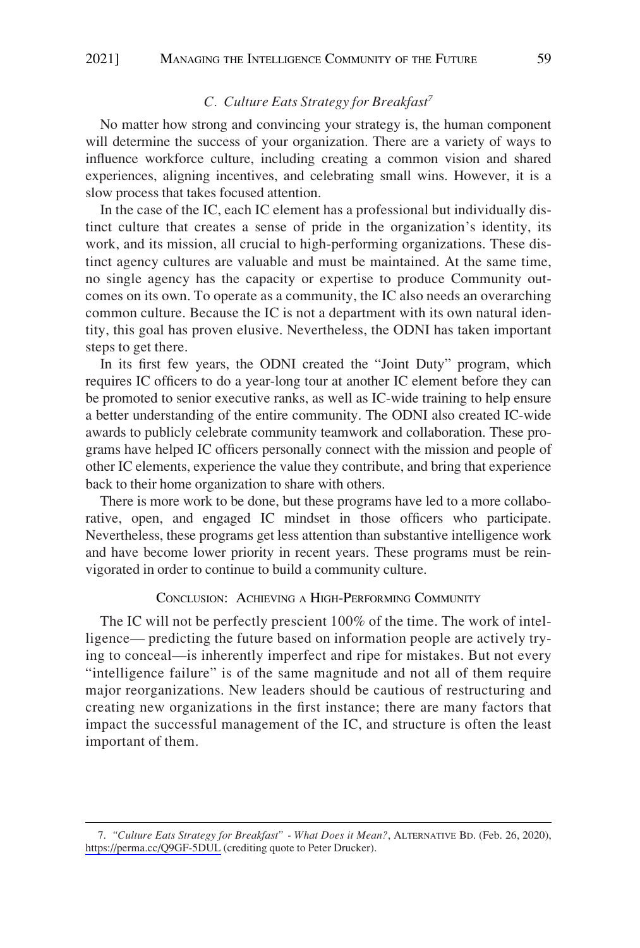## *C. Culture Eats Strategy for Breakfast<sup>7</sup>*

<span id="page-6-0"></span>No matter how strong and convincing your strategy is, the human component will determine the success of your organization. There are a variety of ways to influence workforce culture, including creating a common vision and shared experiences, aligning incentives, and celebrating small wins. However, it is a slow process that takes focused attention.

In the case of the IC, each IC element has a professional but individually distinct culture that creates a sense of pride in the organization's identity, its work, and its mission, all crucial to high-performing organizations. These distinct agency cultures are valuable and must be maintained. At the same time, no single agency has the capacity or expertise to produce Community outcomes on its own. To operate as a community, the IC also needs an overarching common culture. Because the IC is not a department with its own natural identity, this goal has proven elusive. Nevertheless, the ODNI has taken important steps to get there.

In its first few years, the ODNI created the "Joint Duty" program, which requires IC officers to do a year-long tour at another IC element before they can be promoted to senior executive ranks, as well as IC-wide training to help ensure a better understanding of the entire community. The ODNI also created IC-wide awards to publicly celebrate community teamwork and collaboration. These programs have helped IC officers personally connect with the mission and people of other IC elements, experience the value they contribute, and bring that experience back to their home organization to share with others.

There is more work to be done, but these programs have led to a more collaborative, open, and engaged IC mindset in those officers who participate. Nevertheless, these programs get less attention than substantive intelligence work and have become lower priority in recent years. These programs must be reinvigorated in order to continue to build a community culture.

#### CONCLUSION: ACHIEVING A HIGH-PERFORMING COMMUNITY

The IC will not be perfectly prescient 100% of the time. The work of intelligence— predicting the future based on information people are actively trying to conceal—is inherently imperfect and ripe for mistakes. But not every "intelligence failure" is of the same magnitude and not all of them require major reorganizations. New leaders should be cautious of restructuring and creating new organizations in the first instance; there are many factors that impact the successful management of the IC, and structure is often the least important of them.

*<sup>&</sup>quot;Culture Eats Strategy for Breakfast" - What Does it Mean?*, ALTERNATIVE BD. (Feb. 26, 2020), 7. <https://perma.cc/Q9GF-5DUL>(crediting quote to Peter Drucker).